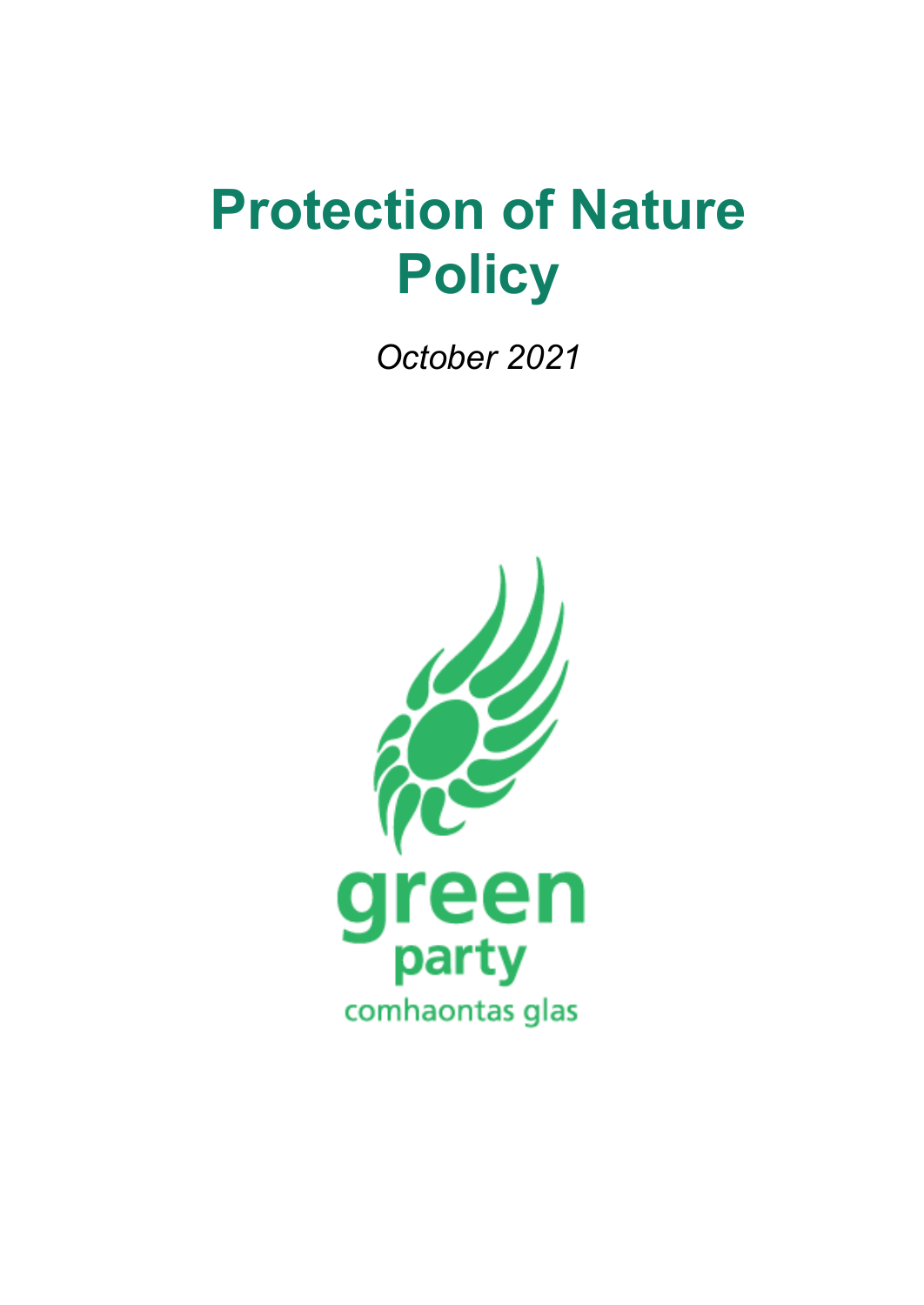# **Protection of Nature Policy**

*October 2021*

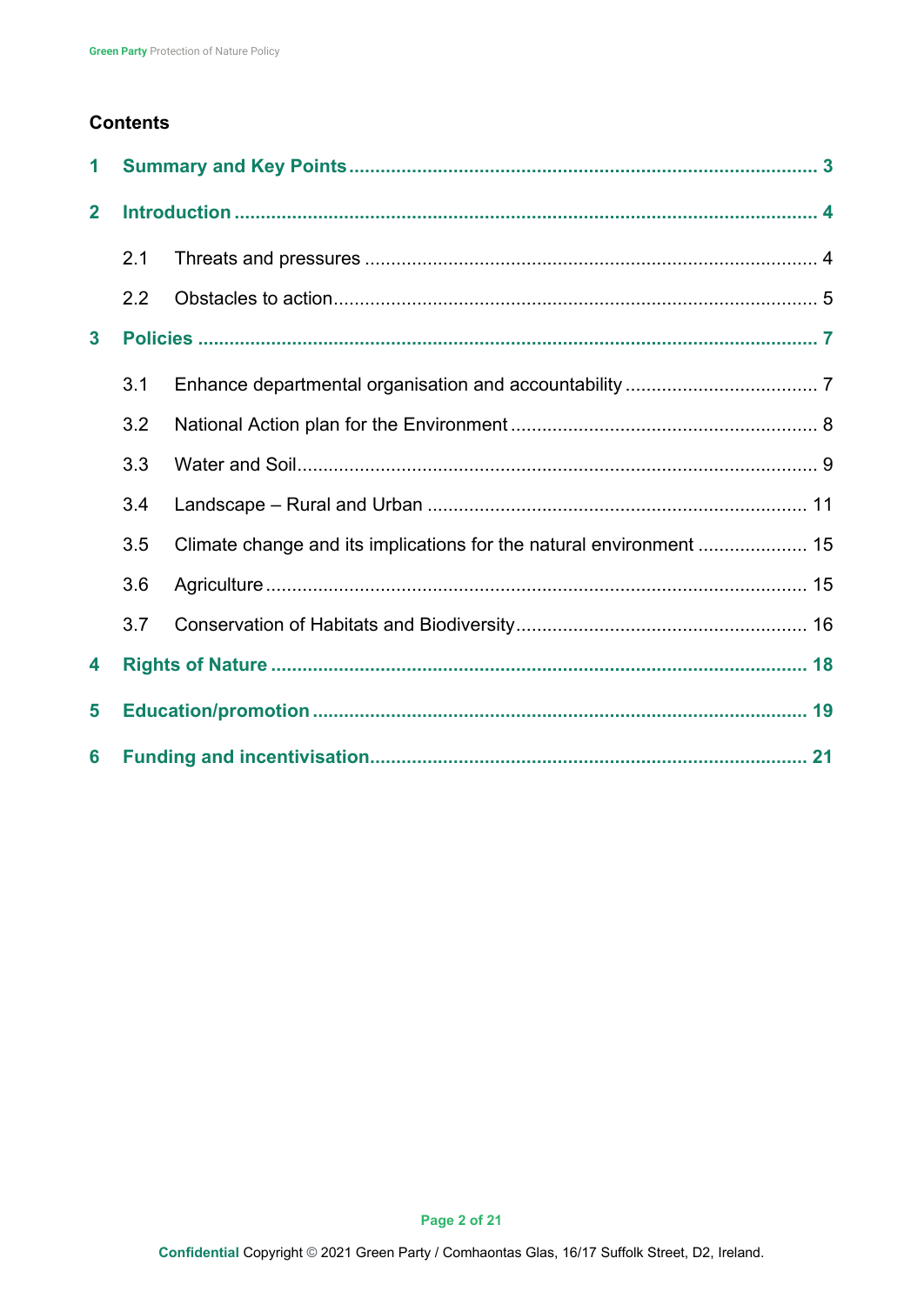## **Contents**

| 1            |     |  |  |
|--------------|-----|--|--|
| $\mathbf{2}$ |     |  |  |
|              | 2.1 |  |  |
|              | 2.2 |  |  |
| $\mathbf{3}$ |     |  |  |
|              | 3.1 |  |  |
|              | 3.2 |  |  |
|              | 3.3 |  |  |
|              | 3.4 |  |  |
|              | 3.5 |  |  |
|              | 3.6 |  |  |
|              | 3.7 |  |  |
| 4            |     |  |  |
| 5            |     |  |  |
| 6            |     |  |  |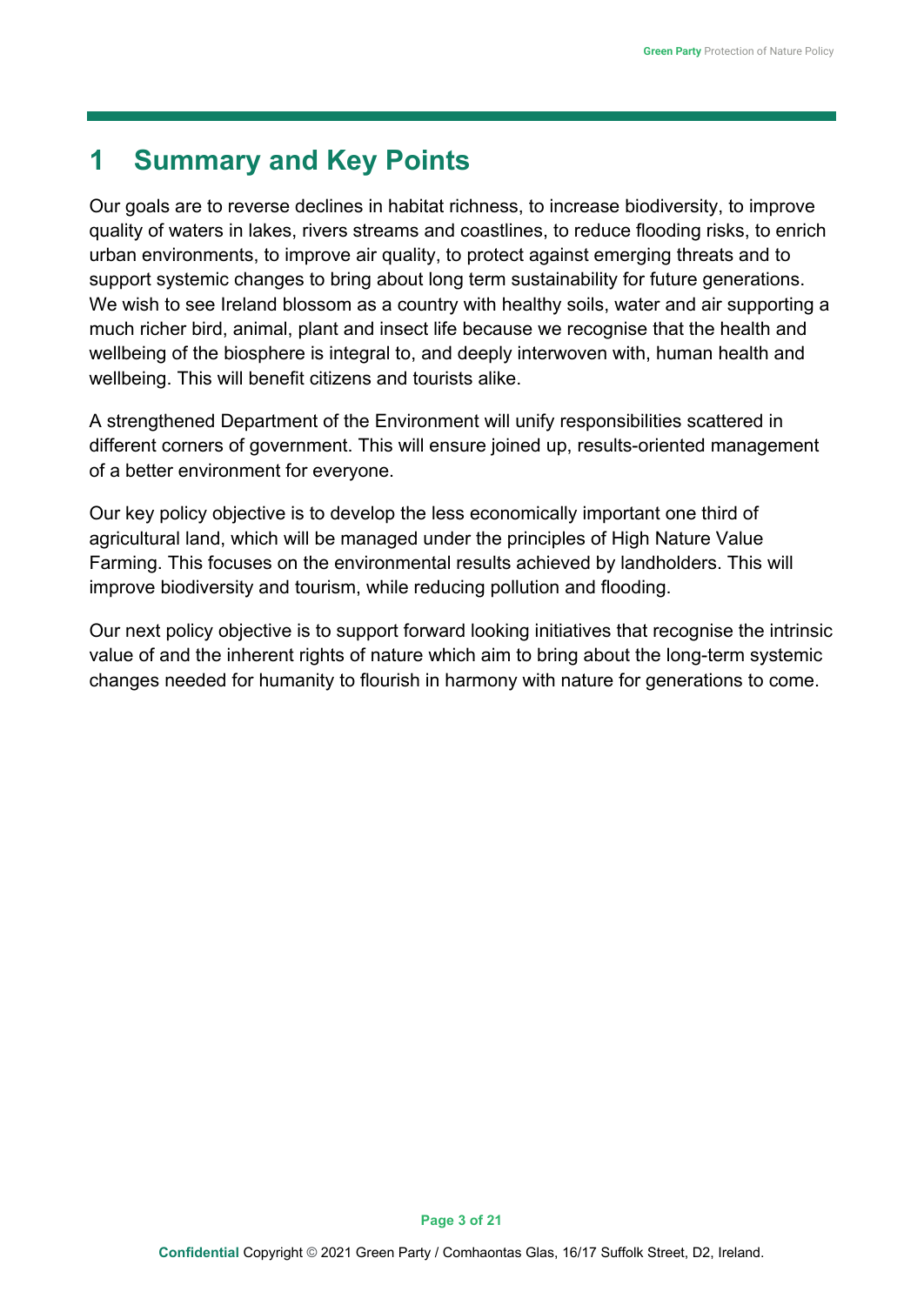# <span id="page-2-0"></span>**1 Summary and Key Points**

Our goals are to reverse declines in habitat richness, to increase biodiversity, to improve quality of waters in lakes, rivers streams and coastlines, to reduce flooding risks, to enrich urban environments, to improve air quality, to protect against emerging threats and to support systemic changes to bring about long term sustainability for future generations. We wish to see Ireland blossom as a country with healthy soils, water and air supporting a much richer bird, animal, plant and insect life because we recognise that the health and wellbeing of the biosphere is integral to, and deeply interwoven with, human health and wellbeing. This will benefit citizens and tourists alike.

A strengthened Department of the Environment will unify responsibilities scattered in different corners of government. This will ensure joined up, results-oriented management of a better environment for everyone.

Our key policy objective is to develop the less economically important one third of agricultural land, which will be managed under the principles of High Nature Value Farming. This focuses on the environmental results achieved by landholders. This will improve biodiversity and tourism, while reducing pollution and flooding.

Our next policy objective is to support forward looking initiatives that recognise the intrinsic value of and the inherent rights of nature which aim to bring about the long-term systemic changes needed for humanity to flourish in harmony with nature for generations to come.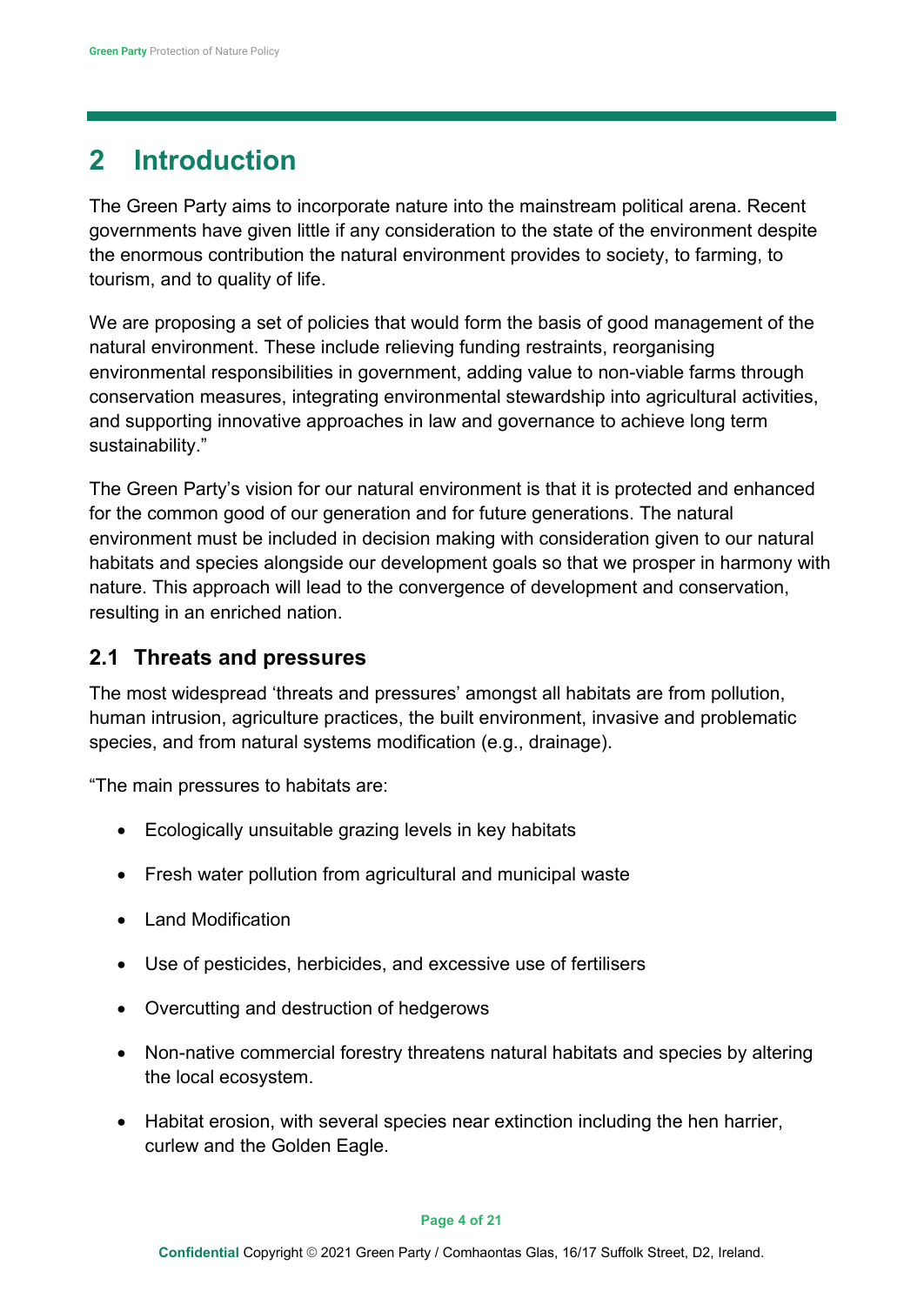# <span id="page-3-0"></span>**2 Introduction**

The Green Party aims to incorporate nature into the mainstream political arena. Recent governments have given little if any consideration to the state of the environment despite the enormous contribution the natural environment provides to society, to farming, to tourism, and to quality of life.

We are proposing a set of policies that would form the basis of good management of the natural environment. These include relieving funding restraints, reorganising environmental responsibilities in government, adding value to non-viable farms through conservation measures, integrating environmental stewardship into agricultural activities, and supporting innovative approaches in law and governance to achieve long term sustainability."

The Green Party's vision for our natural environment is that it is protected and enhanced for the common good of our generation and for future generations. The natural environment must be included in decision making with consideration given to our natural habitats and species alongside our development goals so that we prosper in harmony with nature. This approach will lead to the convergence of development and conservation, resulting in an enriched nation.

## <span id="page-3-1"></span>**2.1 Threats and pressures**

The most widespread 'threats and pressures' amongst all habitats are from pollution, human intrusion, agriculture practices, the built environment, invasive and problematic species, and from natural systems modification (e.g., drainage).

"The main pressures to habitats are:

- Ecologically unsuitable grazing levels in key habitats
- Fresh water pollution from agricultural and municipal waste
- Land Modification
- Use of pesticides, herbicides, and excessive use of fertilisers
- Overcutting and destruction of hedgerows
- Non-native commercial forestry threatens natural habitats and species by altering the local ecosystem.
- Habitat erosion, with several species near extinction including the hen harrier, curlew and the Golden Eagle.

#### **Page 4 of 21**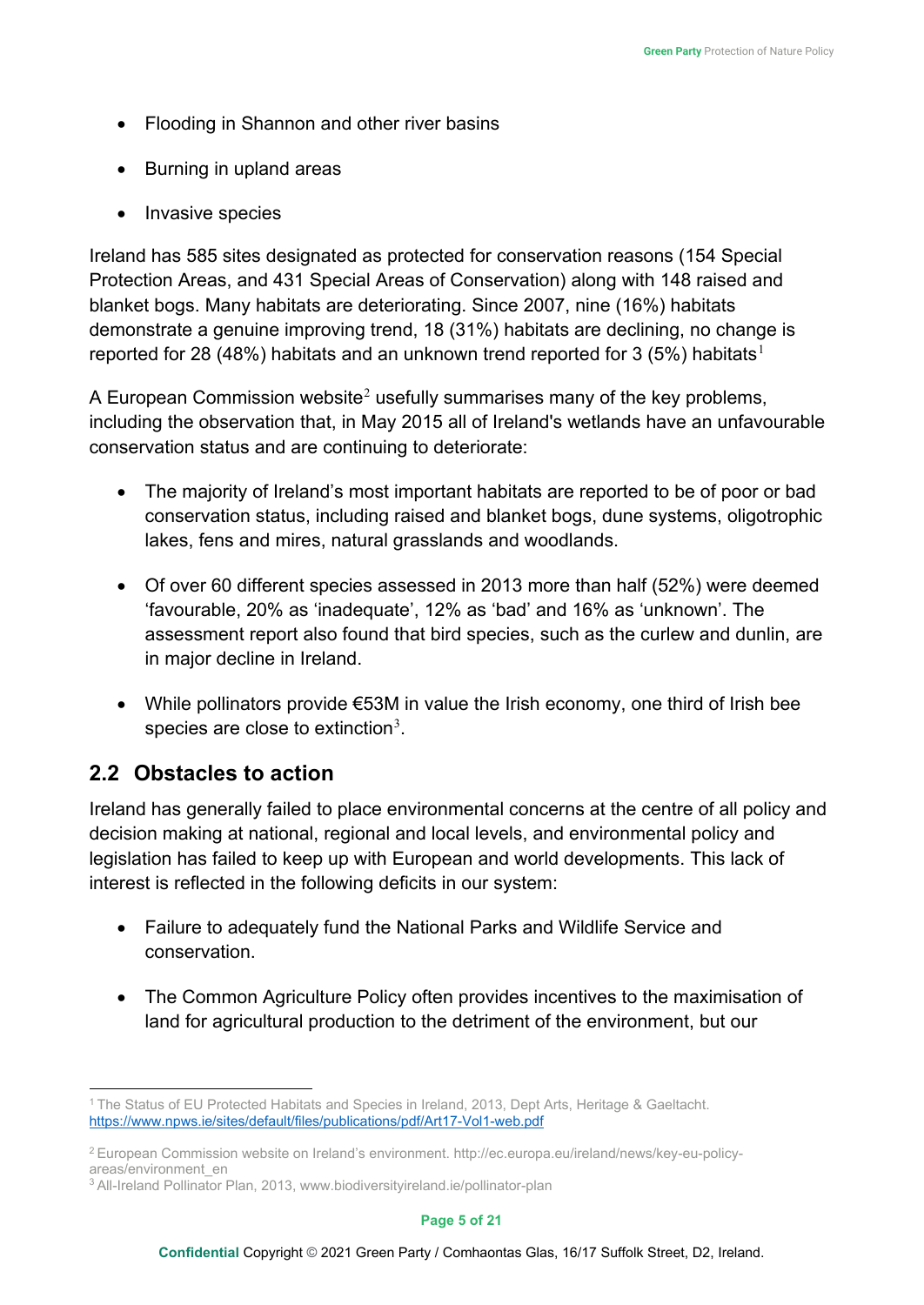- Flooding in Shannon and other river basins
- Burning in upland areas
- Invasive species

Ireland has 585 sites designated as protected for conservation reasons (154 Special Protection Areas, and 431 Special Areas of Conservation) along with 148 raised and blanket bogs. Many habitats are deteriorating. Since 2007, nine (16%) habitats demonstrate a genuine improving trend, 18 (31%) habitats are declining, no change is reported for 28 (48%) habitats and an unknown trend reported for 3 (5%) habitats<sup>[1](#page-4-1)</sup>

A European Commission website<sup>[2](#page-4-2)</sup> usefully summarises many of the key problems, including the observation that, in May 2015 all of Ireland's wetlands have an unfavourable conservation status and are continuing to deteriorate:

- The majority of Ireland's most important habitats are reported to be of poor or bad conservation status, including raised and blanket bogs, dune systems, oligotrophic lakes, fens and mires, natural grasslands and woodlands.
- Of over 60 different species assessed in 2013 more than half (52%) were deemed 'favourable, 20% as 'inadequate', 12% as 'bad' and 16% as 'unknown'. The assessment report also found that bird species, such as the curlew and dunlin, are in major decline in Ireland.
- While pollinators provide €53M in value the Irish economy, one third of Irish bee species are close to extinction<sup>[3](#page-4-3)</sup>.

# <span id="page-4-0"></span>**2.2 Obstacles to action**

Ireland has generally failed to place environmental concerns at the centre of all policy and decision making at national, regional and local levels, and environmental policy and legislation has failed to keep up with European and world developments. This lack of interest is reflected in the following deficits in our system:

- Failure to adequately fund the National Parks and Wildlife Service and conservation.
- The Common Agriculture Policy often provides incentives to the maximisation of land for agricultural production to the detriment of the environment, but our

<span id="page-4-1"></span><sup>1</sup> The Status of EU Protected Habitats and Species in Ireland, 2013, Dept Arts, Heritage & Gaeltacht. <https://www.npws.ie/sites/default/files/publications/pdf/Art17-Vol1-web.pdf>

<span id="page-4-2"></span><sup>2</sup> European Commission website on Ireland's environment. http://ec.europa.eu/ireland/news/key-eu-policyareas/environment\_en

<span id="page-4-3"></span><sup>3</sup> All-Ireland Pollinator Plan, 2013, www.biodiversityireland.ie/pollinator-plan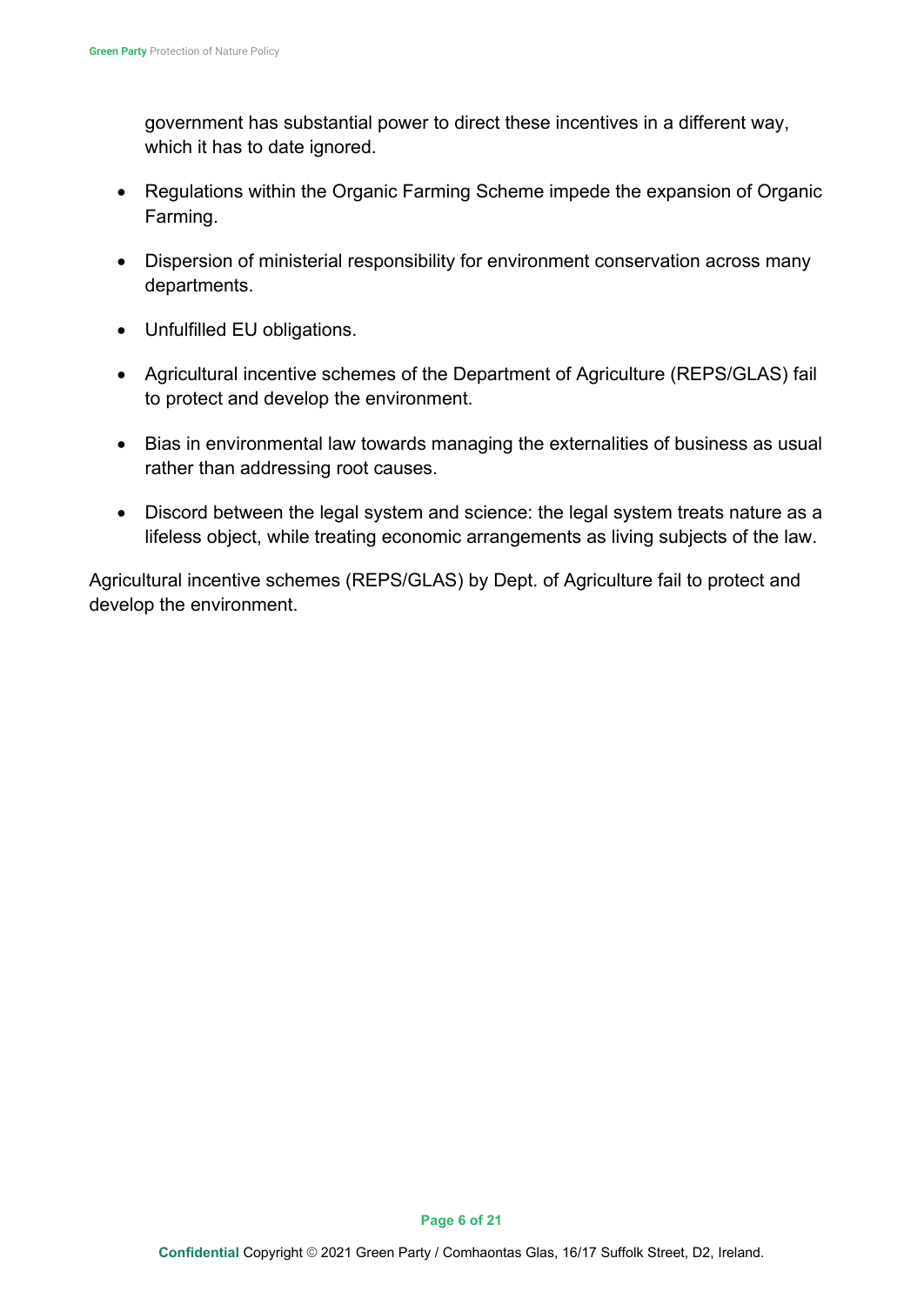government has substantial power to direct these incentives in a different way, which it has to date ignored.

- Regulations within the Organic Farming Scheme impede the expansion of Organic Farming.
- Dispersion of ministerial responsibility for environment conservation across many departments.
- Unfulfilled EU obligations.
- Agricultural incentive schemes of the Department of Agriculture (REPS/GLAS) fail to protect and develop the environment.
- Bias in environmental law towards managing the externalities of business as usual rather than addressing root causes.
- Discord between the legal system and science: the legal system treats nature as a lifeless object, while treating economic arrangements as living subjects of the law.

Agricultural incentive schemes (REPS/GLAS) by Dept. of Agriculture fail to protect and develop the environment.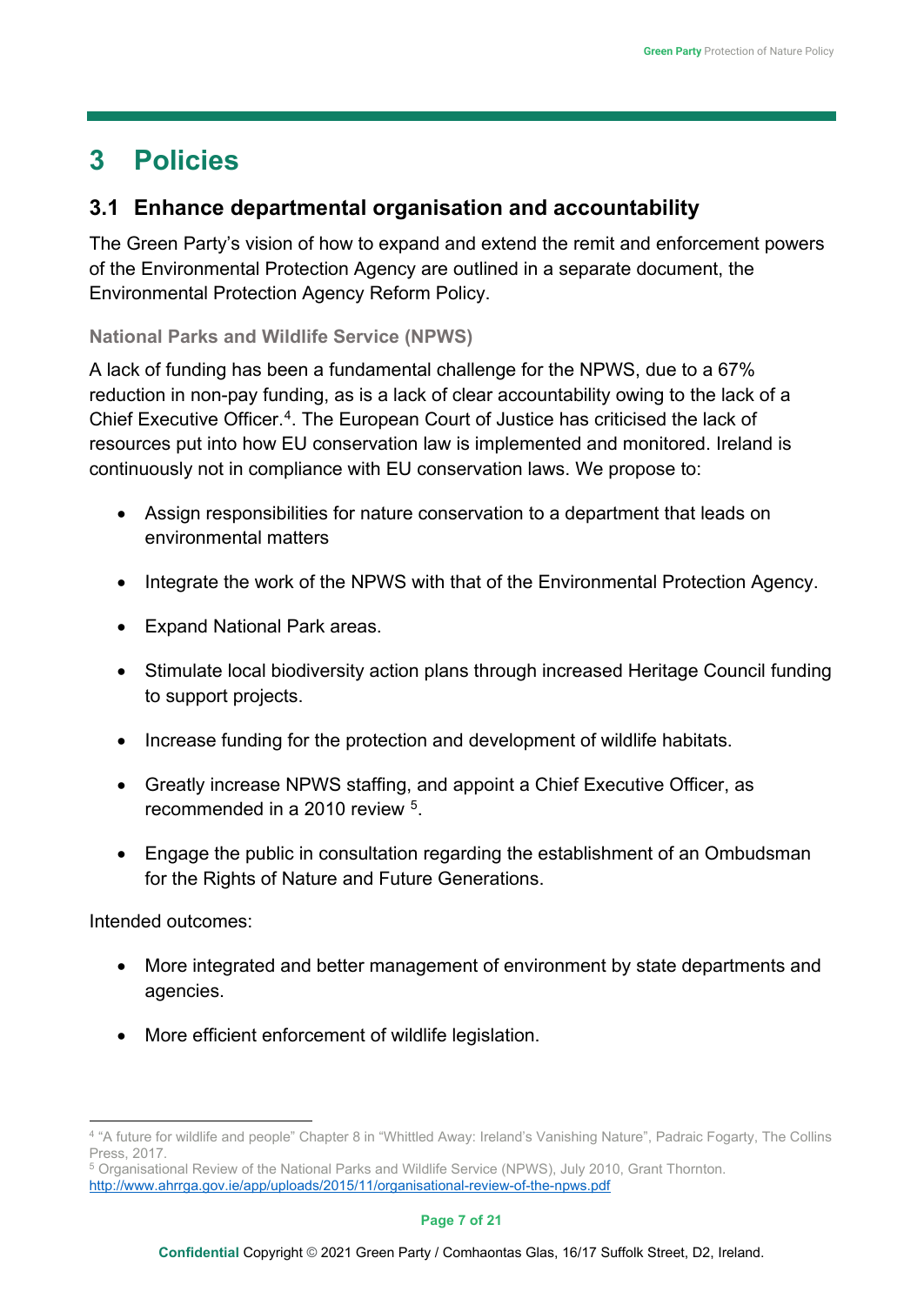# <span id="page-6-0"></span>**3 Policies**

## <span id="page-6-1"></span>**3.1 Enhance departmental organisation and accountability**

The Green Party's vision of how to expand and extend the remit and enforcement powers of the Environmental Protection Agency are outlined in a separate document, the [Environmental Protection Agency Reform Policy.](https://greenparty.ie/wp-content/uploads/2015/11/Environmental-Protection-Agency-Reform-Policy.pdf)

**National Parks and Wildlife Service (NPWS)**

A lack of funding has been a fundamental challenge for the NPWS, due to a 67% reduction in non-pay funding, as is a lack of clear accountability owing to the lack of a Chief Executive Officer.<sup>4</sup>. The European Court of Justice has criticised the lack of resources put into how EU conservation law is implemented and monitored. Ireland is continuously not in compliance with EU conservation laws. We propose to:

- Assign responsibilities for nature conservation to a department that leads on environmental matters
- Integrate the work of the NPWS with that of the Environmental Protection Agency.
- Expand National Park areas.
- Stimulate local biodiversity action plans through increased Heritage Council funding to support projects.
- Increase funding for the protection and development of wildlife habitats.
- Greatly increase NPWS staffing, and appoint a Chief Executive Officer, as recommended in a 2010 review [5](#page-6-3).
- Engage the public in consultation regarding the establishment of an Ombudsman for the Rights of Nature and Future Generations.

Intended outcomes:

- More integrated and better management of environment by state departments and agencies.
- More efficient enforcement of wildlife legislation.

<span id="page-6-2"></span><sup>&</sup>lt;sup>4</sup> "A future for wildlife and people" Chapter 8 in "Whittled Away: Ireland's Vanishing Nature", Padraic Fogarty, The Collins Press, 2017.

<span id="page-6-3"></span><sup>5</sup> Organisational Review of the National Parks and Wildlife Service (NPWS), July 2010, Grant Thornton. <http://www.ahrrga.gov.ie/app/uploads/2015/11/organisational-review-of-the-npws.pdf>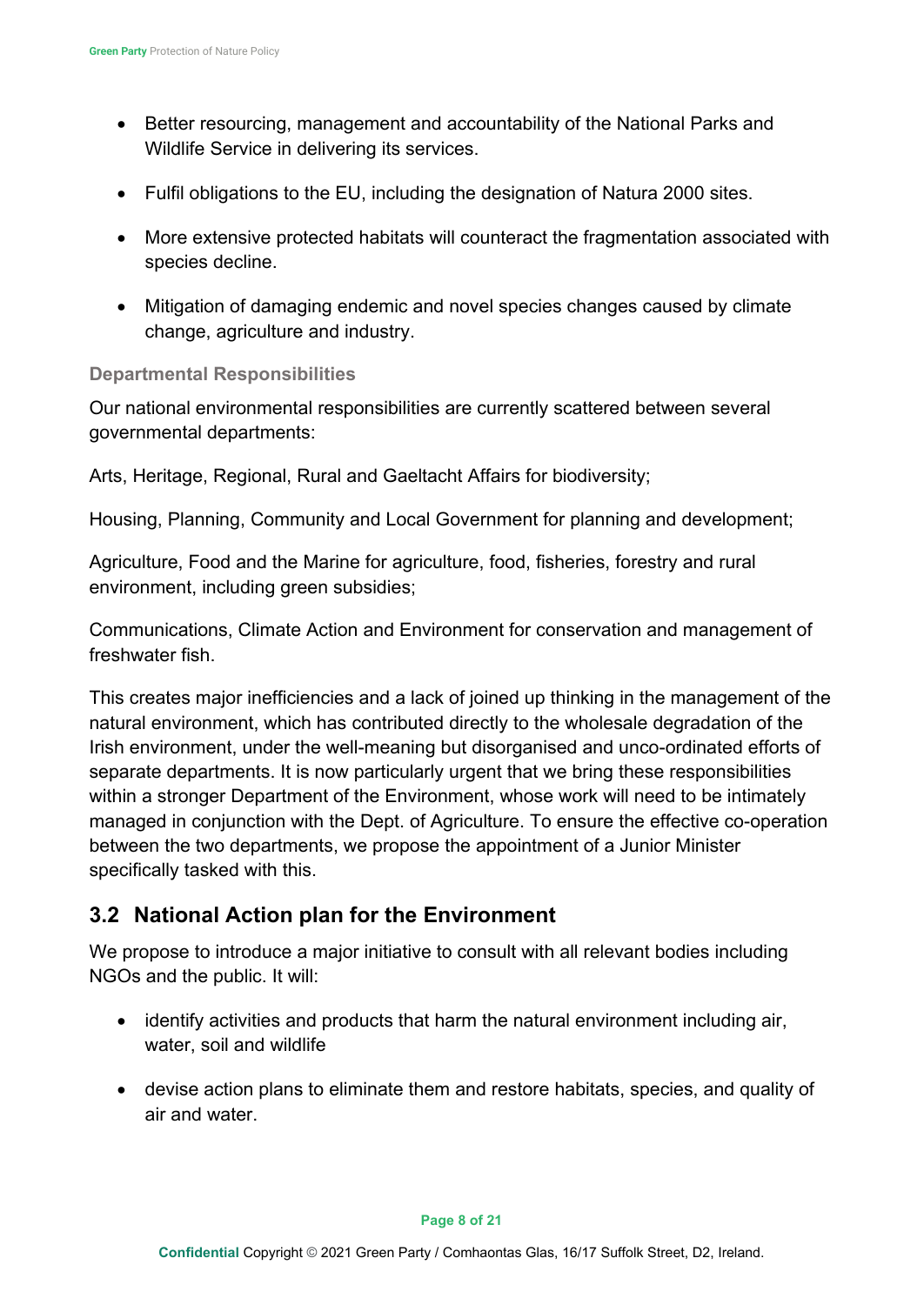- Better resourcing, management and accountability of the National Parks and Wildlife Service in delivering its services.
- Fulfil obligations to the EU, including the designation of Natura 2000 sites.
- More extensive protected habitats will counteract the fragmentation associated with species decline.
- Mitigation of damaging endemic and novel species changes caused by climate change, agriculture and industry.

#### **Departmental Responsibilities**

Our national environmental responsibilities are currently scattered between several governmental departments:

Arts, Heritage, Regional, Rural and Gaeltacht Affairs for biodiversity;

Housing, Planning, Community and Local Government for planning and development;

Agriculture, Food and the Marine for agriculture, food, fisheries, forestry and rural environment, including green subsidies;

Communications, Climate Action and Environment for conservation and management of freshwater fish.

This creates major inefficiencies and a lack of joined up thinking in the management of the natural environment, which has contributed directly to the wholesale degradation of the Irish environment, under the well-meaning but disorganised and unco-ordinated efforts of separate departments. It is now particularly urgent that we bring these responsibilities within a stronger Department of the Environment, whose work will need to be intimately managed in conjunction with the Dept. of Agriculture. To ensure the effective co-operation between the two departments, we propose the appointment of a Junior Minister specifically tasked with this.

# <span id="page-7-0"></span>**3.2 National Action plan for the Environment**

We propose to introduce a major initiative to consult with all relevant bodies including NGOs and the public. It will:

- identify activities and products that harm the natural environment including air, water, soil and wildlife
- devise action plans to eliminate them and restore habitats, species, and quality of air and water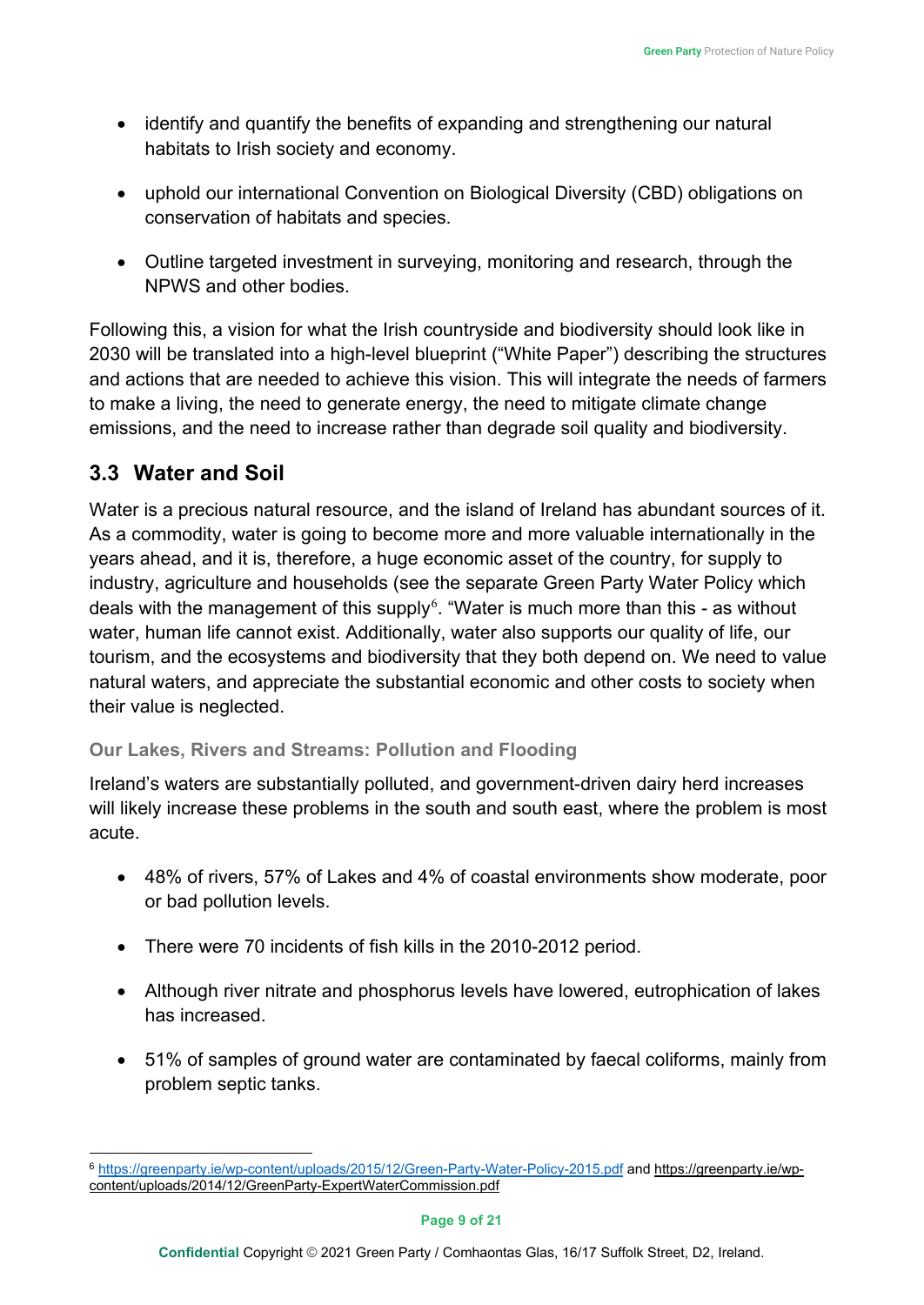- identify and quantify the benefits of expanding and strengthening our natural habitats to Irish society and economy.
- uphold our international Convention on Biological Diversity (CBD) obligations on conservation of habitats and species.
- Outline targeted investment in surveying, monitoring and research, through the NPWS and other bodies.

Following this, a vision for what the Irish countryside and biodiversity should look like in 2030 will be translated into a high-level blueprint ("White Paper") describing the structures and actions that are needed to achieve this vision. This will integrate the needs of farmers to make a living, the need to generate energy, the need to mitigate climate change emissions, and the need to increase rather than degrade soil quality and biodiversity.

# <span id="page-8-0"></span>**3.3 Water and Soil**

Water is a precious natural resource, and the island of Ireland has abundant sources of it. As a commodity, water is going to become more and more valuable internationally in the years ahead, and it is, therefore, a huge economic asset of the country, for supply to industry, agriculture and households (see the separate Green Party Water Policy which deals with the management of this supply $\rm^6$  $\rm^6$ . "Water is much more than this - as without water, human life cannot exist. Additionally, water also supports our quality of life, our tourism, and the ecosystems and biodiversity that they both depend on. We need to value natural waters, and appreciate the substantial economic and other costs to society when their value is neglected.

### **Our Lakes, Rivers and Streams: Pollution and Flooding**

Ireland's waters are substantially polluted, and government-driven dairy herd increases will likely increase these problems in the south and south east, where the problem is most acute.

- 48% of rivers, 57% of Lakes and 4% of coastal environments show moderate, poor or bad pollution levels.
- There were 70 incidents of fish kills in the 2010-2012 period.
- Although river nitrate and phosphorus levels have lowered, eutrophication of lakes has increased.
- 51% of samples of ground water are contaminated by faecal coliforms, mainly from problem septic tanks.

<span id="page-8-1"></span><sup>6</sup> <https://greenparty.ie/wp-content/uploads/2015/12/Green-Party-Water-Policy-2015.pdf> and [https://greenparty.ie/wp](https://greenparty.ie/wp-content/uploads/2014/12/GreenParty-ExpertWaterCommission.pdf)[content/uploads/2014/12/GreenParty-ExpertWaterCommission.pdf](https://greenparty.ie/wp-content/uploads/2014/12/GreenParty-ExpertWaterCommission.pdf)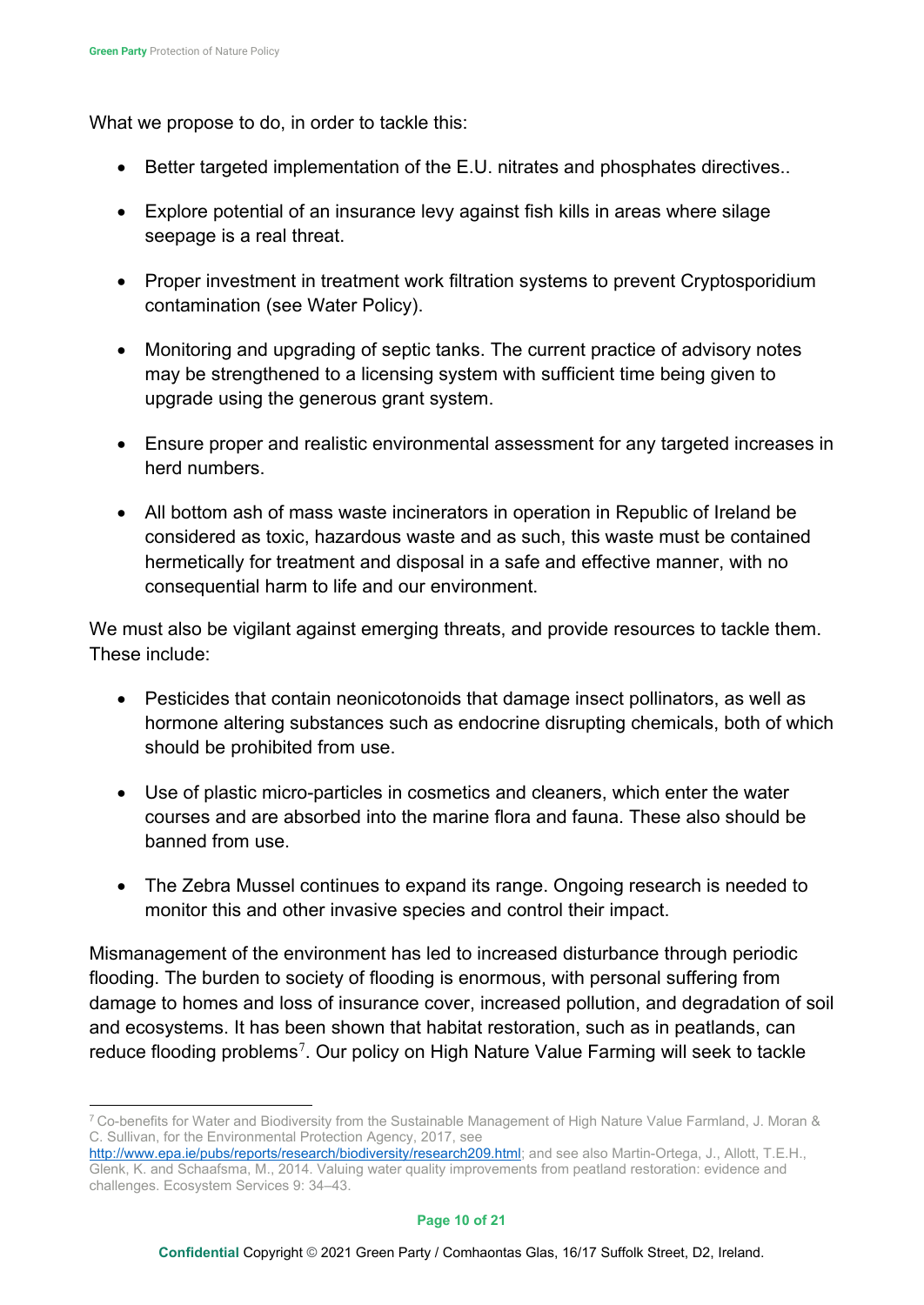What we propose to do, in order to tackle this:

- Better targeted implementation of the E.U. nitrates and phosphates directives..
- Explore potential of an insurance levy against fish kills in areas where silage seepage is a real threat.
- Proper investment in treatment work filtration systems to prevent Cryptosporidium contamination (see Water Policy).
- Monitoring and upgrading of septic tanks. The current practice of advisory notes may be strengthened to a licensing system with sufficient time being given to upgrade using the generous grant system.
- Ensure proper and realistic environmental assessment for any targeted increases in herd numbers.
- All bottom ash of mass waste incinerators in operation in Republic of Ireland be considered as toxic, hazardous waste and as such, this waste must be contained hermetically for treatment and disposal in a safe and effective manner, with no consequential harm to life and our environment.

We must also be vigilant against emerging threats, and provide resources to tackle them. These include:

- Pesticides that contain neonicotonoids that damage insect pollinators, as well as hormone altering substances such as endocrine disrupting chemicals, both of which should be prohibited from use.
- Use of plastic micro-particles in cosmetics and cleaners, which enter the water courses and are absorbed into the marine flora and fauna. These also should be banned from use.
- The Zebra Mussel continues to expand its range. Ongoing research is needed to monitor this and other invasive species and control their impact.

Mismanagement of the environment has led to increased disturbance through periodic flooding. The burden to society of flooding is enormous, with personal suffering from damage to homes and loss of insurance cover, increased pollution, and degradation of soil and ecosystems. It has been shown that habitat restoration, such as in peatlands, can reduce flooding problems<sup>[7](#page-9-0)</sup>. Our policy on High Nature Value Farming will seek to tackle

<span id="page-9-0"></span><sup>7</sup> Co-benefits for Water and Biodiversity from the Sustainable Management of High Nature Value Farmland, J. Moran & C. Sullivan, for the Environmental Protection Agency, 2017, see

[http://www.epa.ie/pubs/reports/research/biodiversity/research209.html;](http://www.epa.ie/pubs/reports/research/biodiversity/research209.html) and see also Martin-Ortega, J., Allott, T.E.H., Glenk, K. and Schaafsma, M., 2014. Valuing water quality improvements from peatland restoration: evidence and challenges. Ecosystem Services 9: 34–43.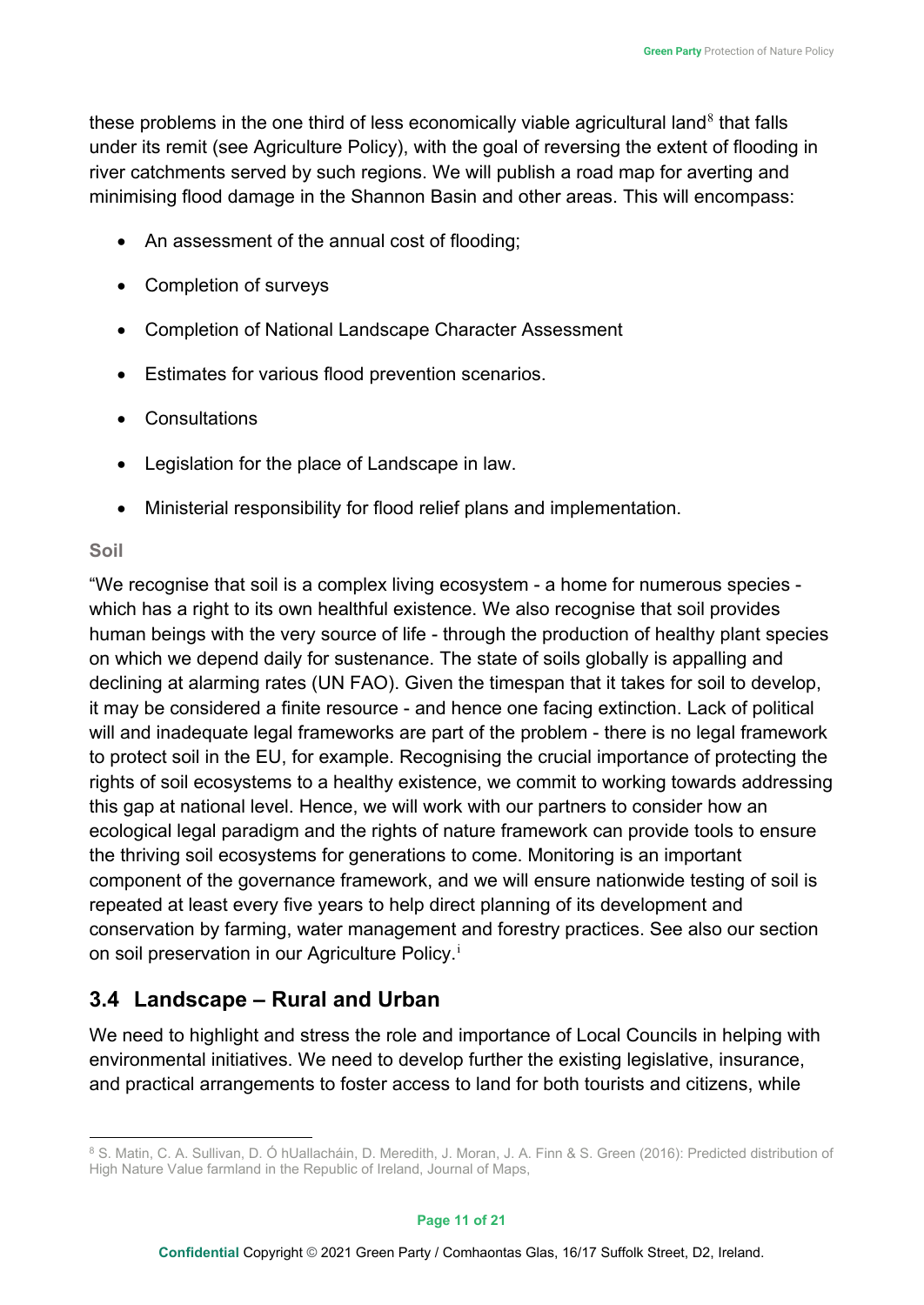these problems in the one third of less economically viable agricultural land<sup>[8](#page-10-1)</sup> that falls under its remit (see Agriculture Policy), with the goal of reversing the extent of flooding in river catchments served by such regions. We will publish a road map for averting and minimising flood damage in the Shannon Basin and other areas. This will encompass:

- An assessment of the annual cost of flooding;
- Completion of surveys
- Completion of National Landscape Character Assessment
- Estimates for various flood prevention scenarios.
- **Consultations**
- Legislation for the place of Landscape in law.
- Ministerial responsibility for flood relief plans and implementation.

#### **Soil**

"We recognise that soil is a complex living ecosystem - a home for numerous species which has a right to its own healthful existence. We also recognise that soil provides human beings with the very source of life - through the production of healthy plant species on which we depend daily for sustenance. The state of soils globally is appalling and declining at alarming rates (UN FAO). Given the timespan that it takes for soil to develop, it may be considered a finite resource - and hence one facing extinction. Lack of political will and inadequate legal frameworks are part of the problem - there is no legal framework to protect soil in the EU, for example. Recognising the crucial importance of protecting the rights of soil ecosystems to a healthy existence, we commit to working towards addressing this gap at national level. Hence, we will work with our partners to consider how an ecological legal paradigm and the rights of nature framework can provide tools to ensure the thriving soil ecosystems for generations to come. Monitoring is an important component of the governance framework, and we will ensure nationwide testing of soil is repeated at least every five years to help direct planning of its development and conservation by farming, water management and forestry practices. See also our section on so[i](#page-20-1)l preservation in our Agriculture Policy.<sup>i</sup>

# <span id="page-10-0"></span>**3.4 Landscape – Rural and Urban**

We need to highlight and stress the role and importance of Local Councils in helping with environmental initiatives. We need to develop further the existing legislative, insurance, and practical arrangements to foster access to land for both tourists and citizens, while

<span id="page-10-1"></span><sup>8</sup> S. Matin, C. A. Sullivan, D. Ó hUallacháin, D. Meredith, J. Moran, J. A. Finn & S. Green (2016): Predicted distribution of High Nature Value farmland in the Republic of Ireland, Journal of Maps,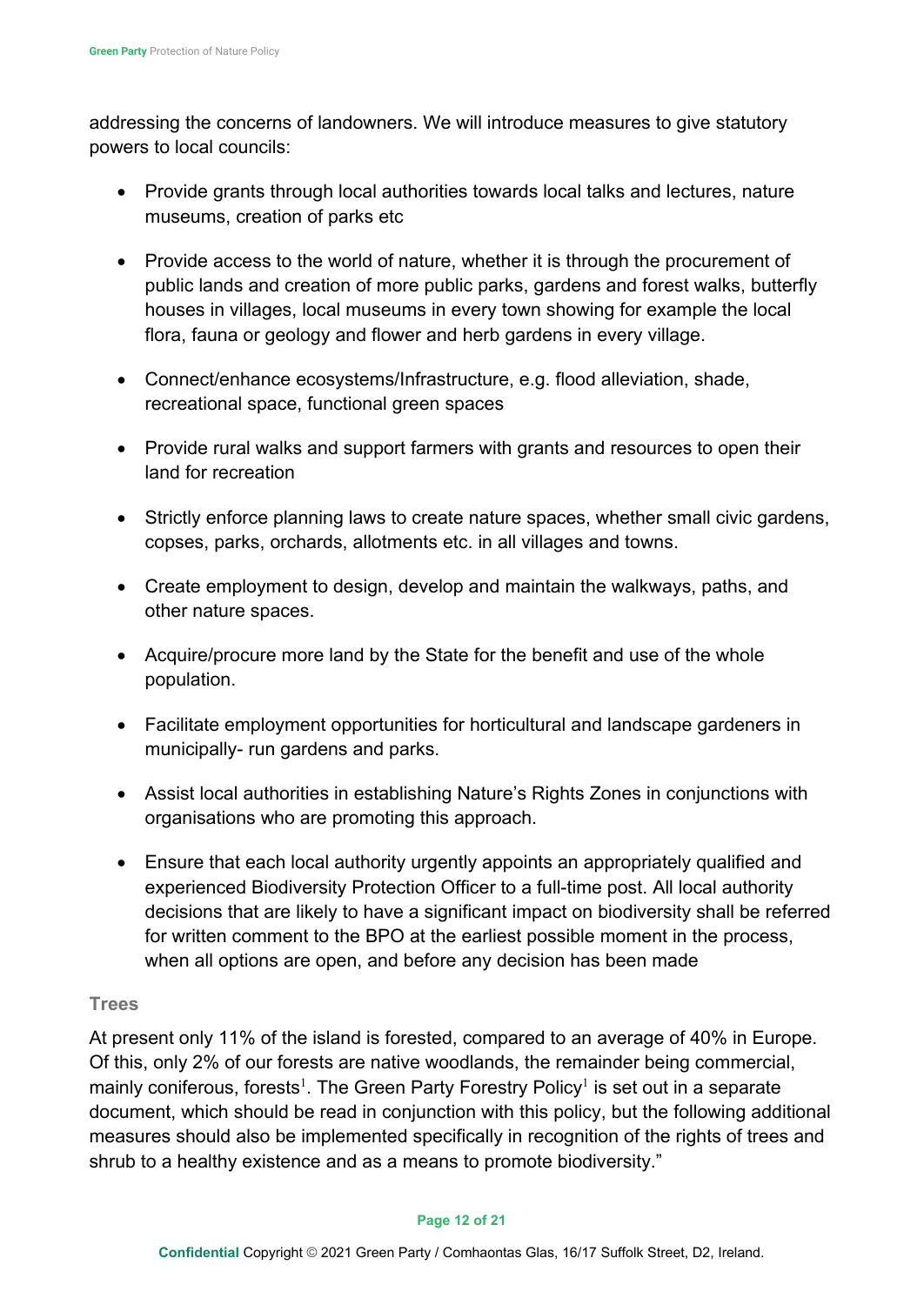addressing the concerns of landowners. We will introduce measures to give statutory powers to local councils:

- Provide grants through local authorities towards local talks and lectures, nature museums, creation of parks etc
- Provide access to the world of nature, whether it is through the procurement of public lands and creation of more public parks, gardens and forest walks, butterfly houses in villages, local museums in every town showing for example the local flora, fauna or geology and flower and herb gardens in every village.
- Connect/enhance ecosystems/Infrastructure, e.g. flood alleviation, shade, recreational space, functional green spaces
- Provide rural walks and support farmers with grants and resources to open their land for recreation
- Strictly enforce planning laws to create nature spaces, whether small civic gardens, copses, parks, orchards, allotments etc. in all villages and towns.
- Create employment to design, develop and maintain the walkways, paths, and other nature spaces.
- Acquire/procure more land by the State for the benefit and use of the whole population.
- Facilitate employment opportunities for horticultural and landscape gardeners in municipally- run gardens and parks.
- Assist local authorities in establishing Nature's Rights Zones in conjunctions with organisations who are promoting this approach.
- Ensure that each local authority urgently appoints an appropriately qualified and experienced Biodiversity Protection Officer to a full-time post. All local authority decisions that are likely to have a significant impact on biodiversity shall be referred for written comment to the BPO at the earliest possible moment in the process, when all options are open, and before any decision has been made

#### **Trees**

At present only 11% of the island is forested, compared to an average of 40% in Europe. Of this, only 2% of our forests are native woodlands, the remainder being commercial, mainly coniferous, forests $^{\rm l}$ . The Green Party Forestry Policy $^{\rm l}$  is set out in a separate document, which should be read in conjunction with this policy, but the following additional measures should also be implemented specifically in recognition of the rights of trees and shrub to a healthy existence and as a means to promote biodiversity."

#### **Page 12 of 21**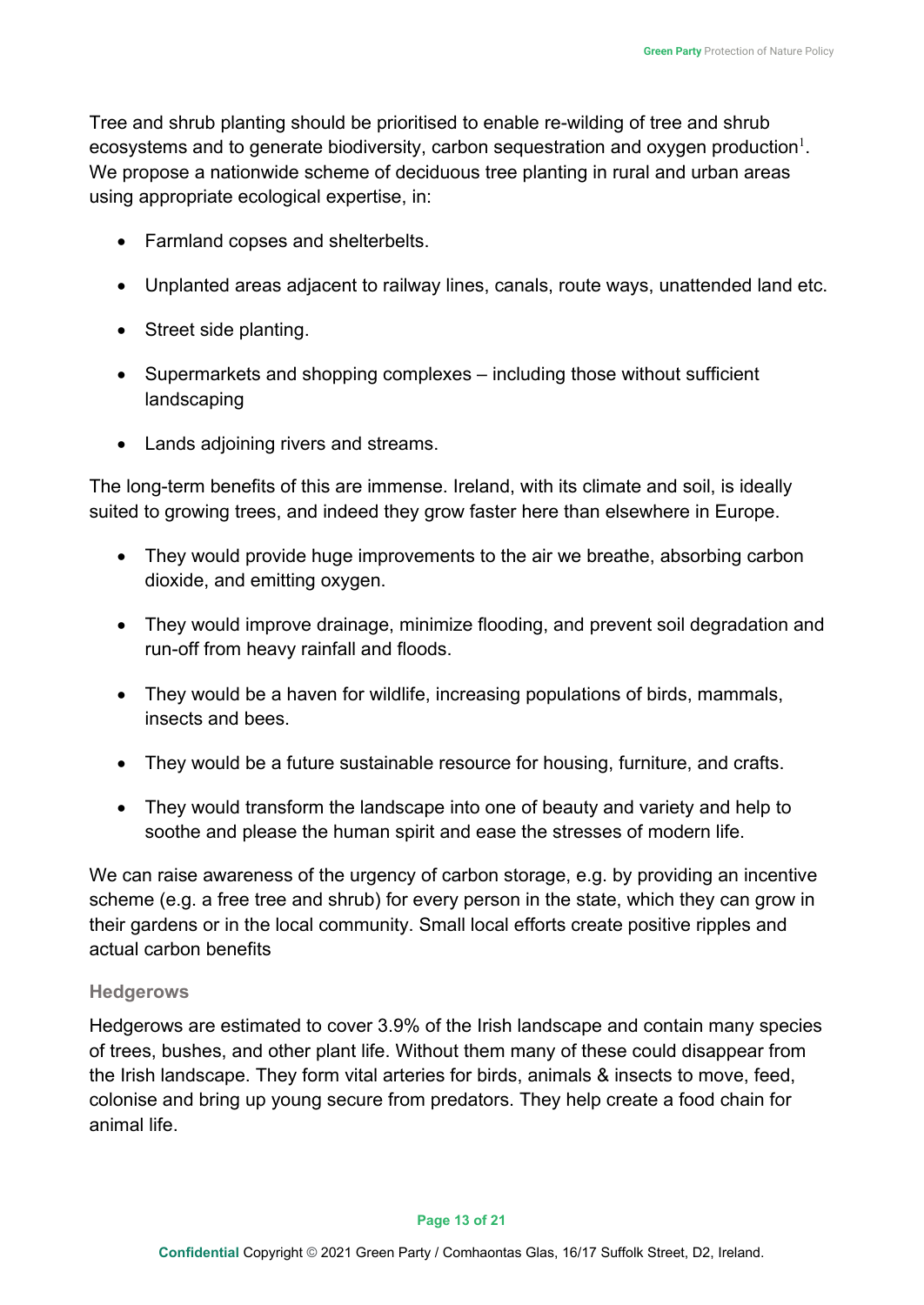Tree and shrub planting should be prioritised to enable re-wilding of tree and shrub ecosystems and to generate biodiversity, carbon sequestration and oxygen production $^{\rm l}$ . We propose a nationwide scheme of deciduous tree planting in rural and urban areas using appropriate ecological expertise, in:

- Farmland copses and shelterbelts.
- Unplanted areas adjacent to railway lines, canals, route ways, unattended land etc.
- Street side planting.
- Supermarkets and shopping complexes including those without sufficient landscaping
- Lands adjoining rivers and streams.

The long-term benefits of this are immense. Ireland, with its climate and soil, is ideally suited to growing trees, and indeed they grow faster here than elsewhere in Europe.

- They would provide huge improvements to the air we breathe, absorbing carbon dioxide, and emitting oxygen.
- They would improve drainage, minimize flooding, and prevent soil degradation and run-off from heavy rainfall and floods.
- They would be a haven for wildlife, increasing populations of birds, mammals, insects and bees.
- They would be a future sustainable resource for housing, furniture, and crafts.
- They would transform the landscape into one of beauty and variety and help to soothe and please the human spirit and ease the stresses of modern life.

We can raise awareness of the urgency of carbon storage, e.g. by providing an incentive scheme (e.g. a free tree and shrub) for every person in the state, which they can grow in their gardens or in the local community. Small local efforts create positive ripples and actual carbon benefits

#### **Hedgerows**

Hedgerows are estimated to cover 3.9% of the Irish landscape and contain many species of trees, bushes, and other plant life. Without them many of these could disappear from the Irish landscape. They form vital arteries for birds, animals & insects to move, feed, colonise and bring up young secure from predators. They help create a food chain for animal life.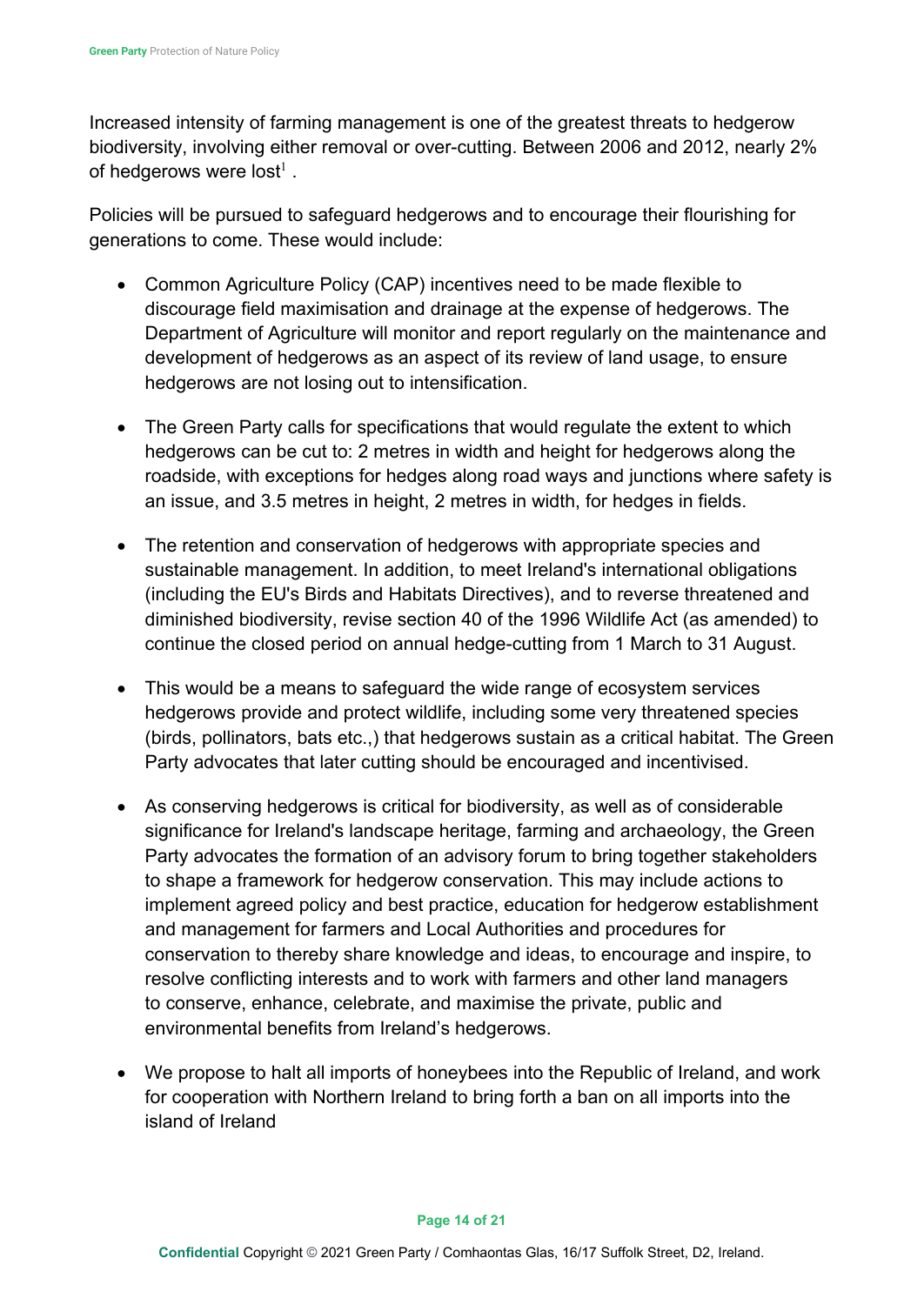Increased intensity of farming management is one of the greatest threats to hedgerow biodiversity, involving either removal or over-cutting. Between 2006 and 2012, nearly 2% of hedgerows were lost<sup>1</sup>.

Policies will be pursued to safeguard hedgerows and to encourage their flourishing for generations to come. These would include:

- Common Agriculture Policy (CAP) incentives need to be made flexible to discourage field maximisation and drainage at the expense of hedgerows. The Department of Agriculture will monitor and report regularly on the maintenance and development of hedgerows as an aspect of its review of land usage, to ensure hedgerows are not losing out to intensification.
- The Green Party calls for specifications that would regulate the extent to which hedgerows can be cut to: 2 metres in width and height for hedgerows along the roadside, with exceptions for hedges along road ways and junctions where safety is an issue, and 3.5 metres in height, 2 metres in width, for hedges in fields.
- The retention and conservation of hedgerows with appropriate species and sustainable management. In addition, to meet Ireland's international obligations (including the EU's Birds and Habitats Directives), and to reverse threatened and diminished biodiversity, revise section 40 of the 1996 Wildlife Act (as amended) to continue the closed period on annual hedge-cutting from 1 March to 31 August.
- This would be a means to safeguard the wide range of ecosystem services hedgerows provide and protect wildlife, including some very threatened species (birds, pollinators, bats etc.,) that hedgerows sustain as a critical habitat. The Green Party advocates that later cutting should be encouraged and incentivised.
- As conserving hedgerows is critical for biodiversity, as well as of considerable significance for Ireland's landscape heritage, farming and archaeology, the Green Party advocates the formation of an advisory forum to bring together stakeholders to shape a framework for hedgerow conservation. This may include actions to implement agreed policy and best practice, education for hedgerow establishment and management for farmers and Local Authorities and procedures for conservation to thereby share knowledge and ideas, to encourage and inspire, to resolve conflicting interests and to work with farmers and other land managers to conserve, enhance, celebrate, and maximise the private, public and environmental benefits from Ireland's hedgerows.
- We propose to halt all imports of honeybees into the Republic of Ireland, and work for cooperation with Northern Ireland to bring forth a ban on all imports into the island of Ireland

#### **Page 14 of 21**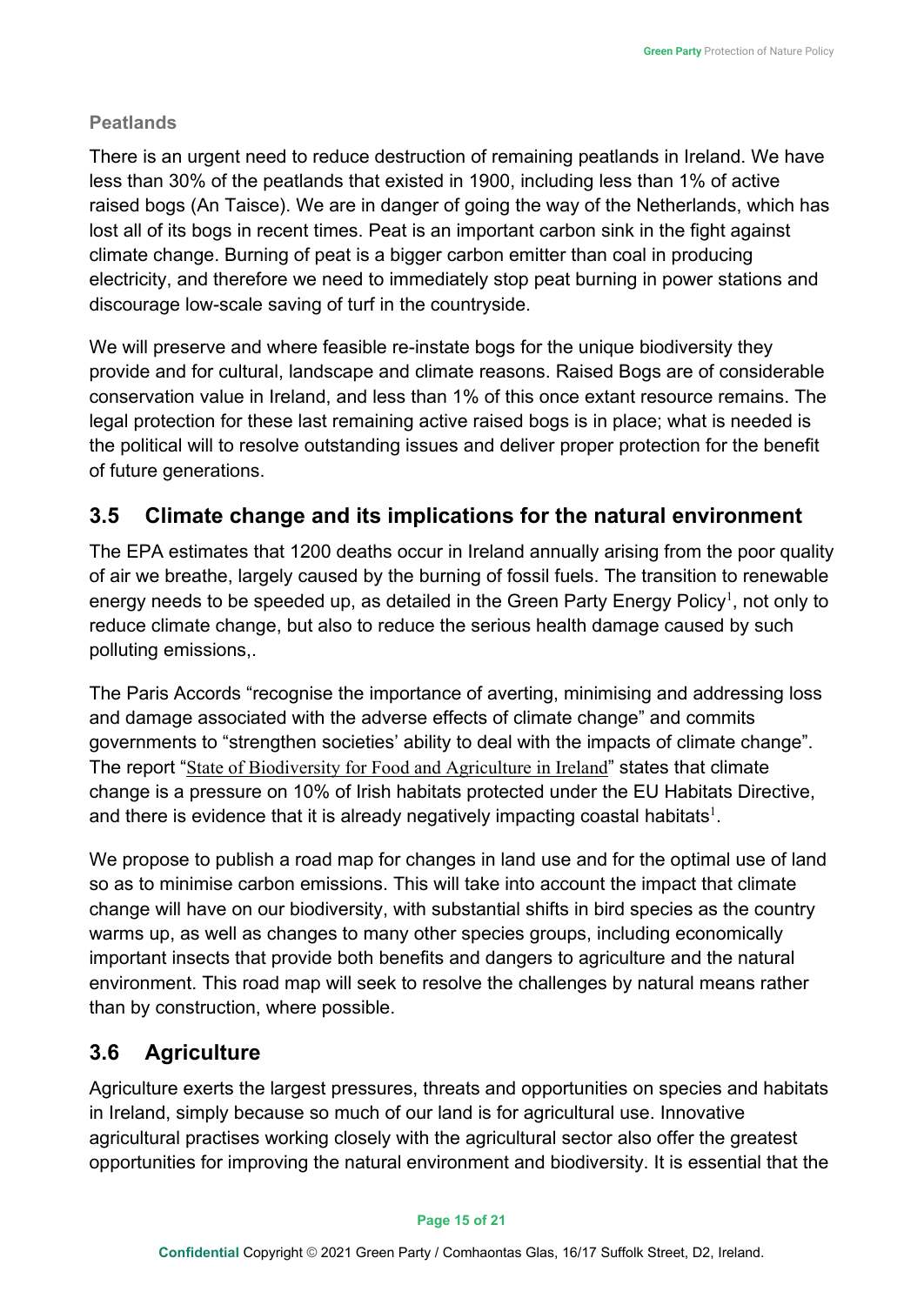## **Peatlands**

There is an urgent need to reduce destruction of remaining peatlands in Ireland. We have less than 30% of the peatlands that existed in 1900, including less than 1% of active raised bogs (An Taisce). We are in danger of going the way of the Netherlands, which has lost all of its bogs in recent times. Peat is an important carbon sink in the fight against climate change. Burning of peat is a bigger carbon emitter than coal in producing electricity, and therefore we need to immediately stop peat burning in power stations and discourage low-scale saving of turf in the countryside.

We will preserve and where feasible re-instate bogs for the unique biodiversity they provide and for cultural, landscape and climate reasons. Raised Bogs are of considerable conservation value in Ireland, and less than 1% of this once extant resource remains. The legal protection for these last remaining active raised bogs is in place; what is needed is the political will to resolve outstanding issues and deliver proper protection for the benefit of future generations.

# <span id="page-14-0"></span>**3.5 Climate change and its implications for the natural environment**

The EPA estimates that 1200 deaths occur in Ireland annually arising from the poor quality of air we breathe, largely caused by the burning of fossil fuels. The transition to renewable energy needs to be speeded up, as detailed in the Green Party Energy Policy $^{\rm l}$ , not only to reduce climate change, but also to reduce the serious health damage caused by such polluting emissions,.

The Paris Accords "recognise the importance of averting, minimising and addressing loss and damage associated with the adverse effects of climate change" and commits governments to "strengthen societies' ability to deal with the impacts of climate change". The report "[State of Biodiversity for Food and Agriculture in Ireland](http://www.biodiversityireland.ie/wordpress/files/SoWBFA-Country-Report-Ireland-2014.pdf)" states that climate change is a pressure on 10% of Irish habitats protected under the EU Habitats Directive, and there is evidence that it is already negatively impacting coastal habitats $^{\rm l}$ .

We propose to publish a road map for changes in land use and for the optimal use of land so as to minimise carbon emissions. This will take into account the impact that climate change will have on our biodiversity, with substantial shifts in bird species as the country warms up, as well as changes to many other species groups, including economically important insects that provide both benefits and dangers to agriculture and the natural environment. This road map will seek to resolve the challenges by natural means rather than by construction, where possible.

# <span id="page-14-1"></span>**3.6 Agriculture**

Agriculture exerts the largest pressures, threats and opportunities on species and habitats in Ireland, simply because so much of our land is for agricultural use. Innovative agricultural practises working closely with the agricultural sector also offer the greatest opportunities for improving the natural environment and biodiversity. It is essential that the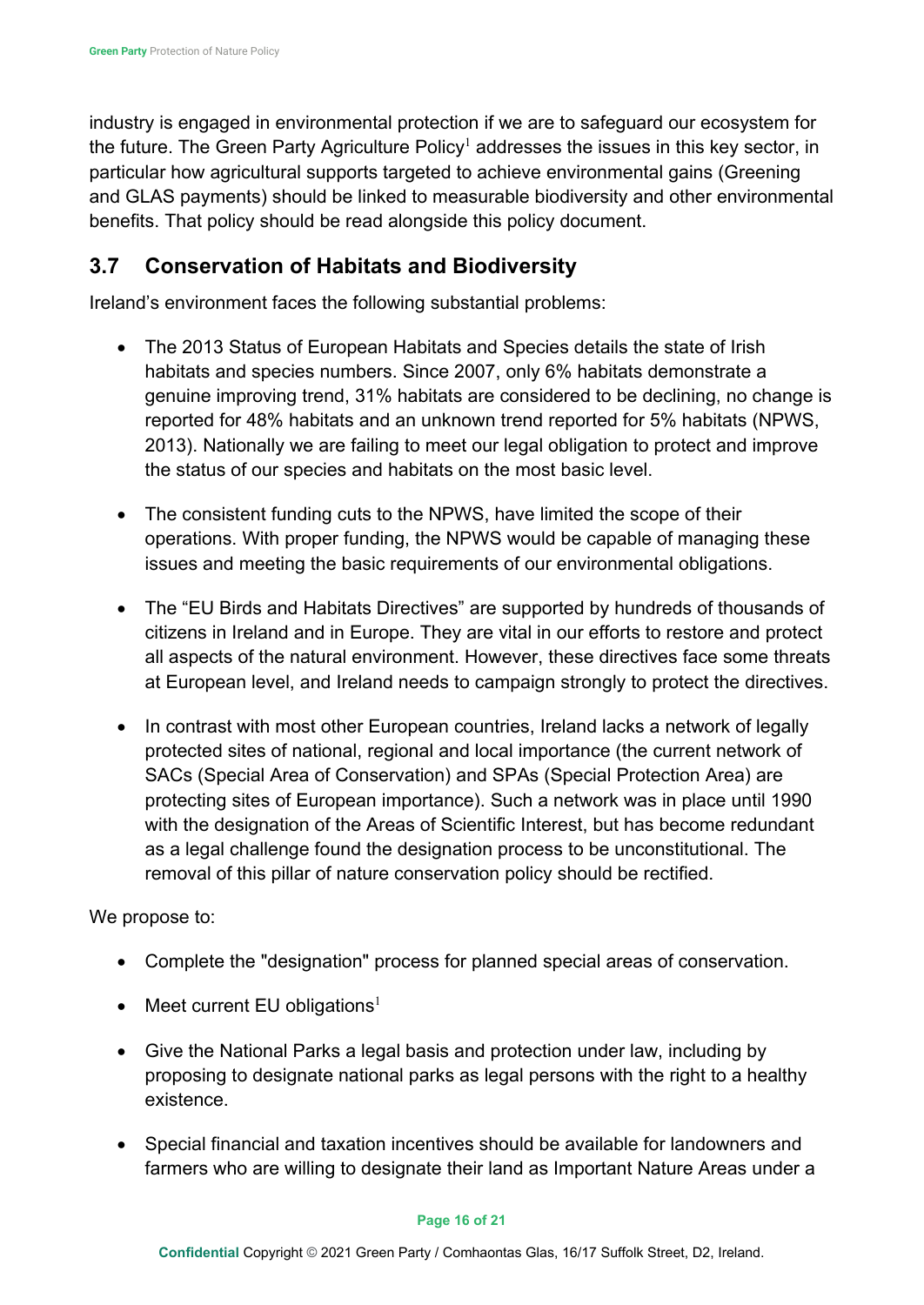industry is engaged in environmental protection if we are to safeguard our ecosystem for the future. The Green Party Agriculture Policy<sup>1</sup> addresses the issues in this key sector, in particular how agricultural supports targeted to achieve environmental gains (Greening and GLAS payments) should be linked to measurable biodiversity and other environmental benefits. That policy should be read alongside this policy document.

## <span id="page-15-0"></span>**3.7 Conservation of Habitats and Biodiversity**

Ireland's environment faces the following substantial problems:

- The 2013 Status of European Habitats and Species details the state of Irish habitats and species numbers. Since 2007, only 6% habitats demonstrate a genuine improving trend, 31% habitats are considered to be declining, no change is reported for 48% habitats and an unknown trend reported for 5% habitats (NPWS, 2013). Nationally we are failing to meet our legal obligation to protect and improve the status of our species and habitats on the most basic level.
- The consistent funding cuts to the NPWS, have limited the scope of their operations. With proper funding, the NPWS would be capable of managing these issues and meeting the basic requirements of our environmental obligations.
- The "EU Birds and Habitats Directives" are supported by hundreds of thousands of citizens in Ireland and in Europe. They are vital in our efforts to restore and protect all aspects of the natural environment. However, these directives face some threats at European level, and Ireland needs to campaign strongly to protect the directives.
- In contrast with most other European countries, Ireland lacks a network of legally protected sites of national, regional and local importance (the current network of SACs (Special Area of Conservation) and SPAs (Special Protection Area) are protecting sites of European importance). Such a network was in place until 1990 with the designation of the Areas of Scientific Interest, but has become redundant as a legal challenge found the designation process to be unconstitutional. The removal of this pillar of nature conservation policy should be rectified.

We propose to:

- Complete the "designation" process for planned special areas of conservation.
- Meet current EU obligations<sup>1</sup>
- Give the National Parks a legal basis and protection under law, including by proposing to designate national parks as legal persons with the right to a healthy existence.
- Special financial and taxation incentives should be available for landowners and farmers who are willing to designate their land as Important Nature Areas under a

#### **Page 16 of 21**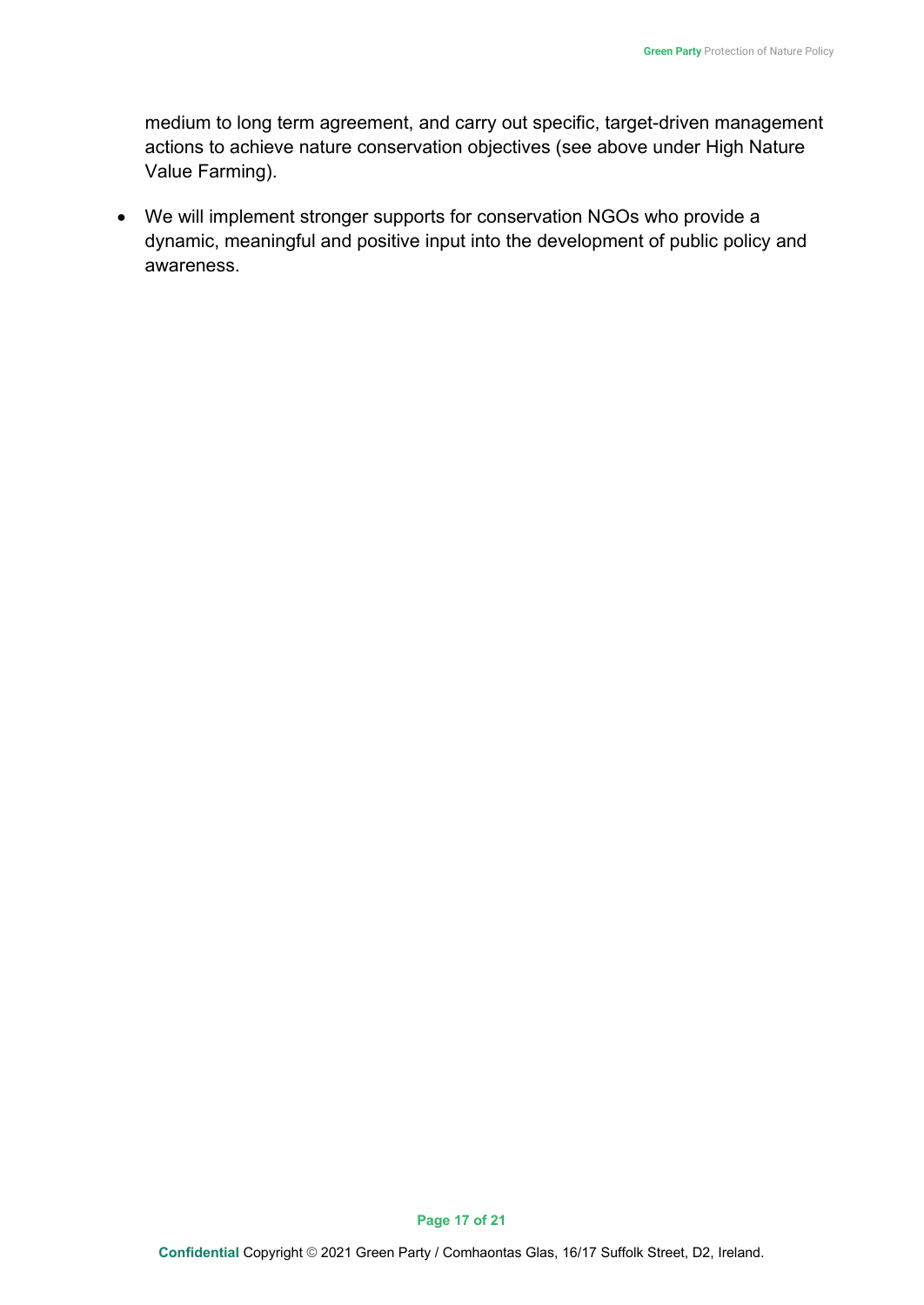medium to long term agreement, and carry out specific, target-driven management actions to achieve nature conservation objectives (see above under High Nature Value Farming).

• We will implement stronger supports for conservation NGOs who provide a dynamic, meaningful and positive input into the development of public policy and awareness.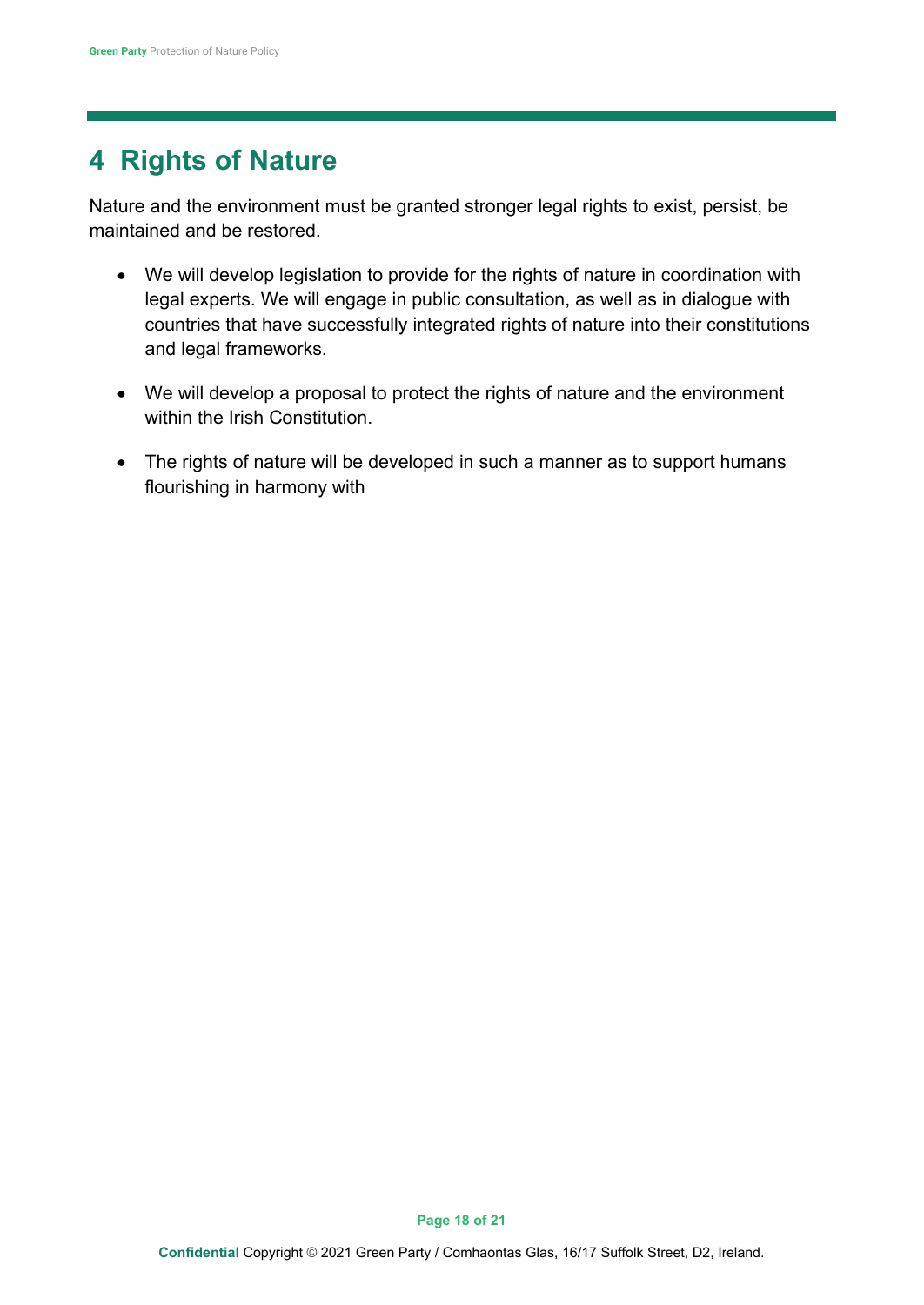# <span id="page-17-0"></span>**4 Rights of Nature**

Nature and the environment must be granted stronger legal rights to exist, persist, be maintained and be restored.

- We will develop legislation to provide for the rights of nature in coordination with legal experts. We will engage in public consultation, as well as in dialogue with countries that have successfully integrated rights of nature into their constitutions and legal frameworks.
- We will develop a proposal to protect the rights of nature and the environment within the Irish Constitution
- The rights of nature will be developed in such a manner as to support humans flourishing in harmony with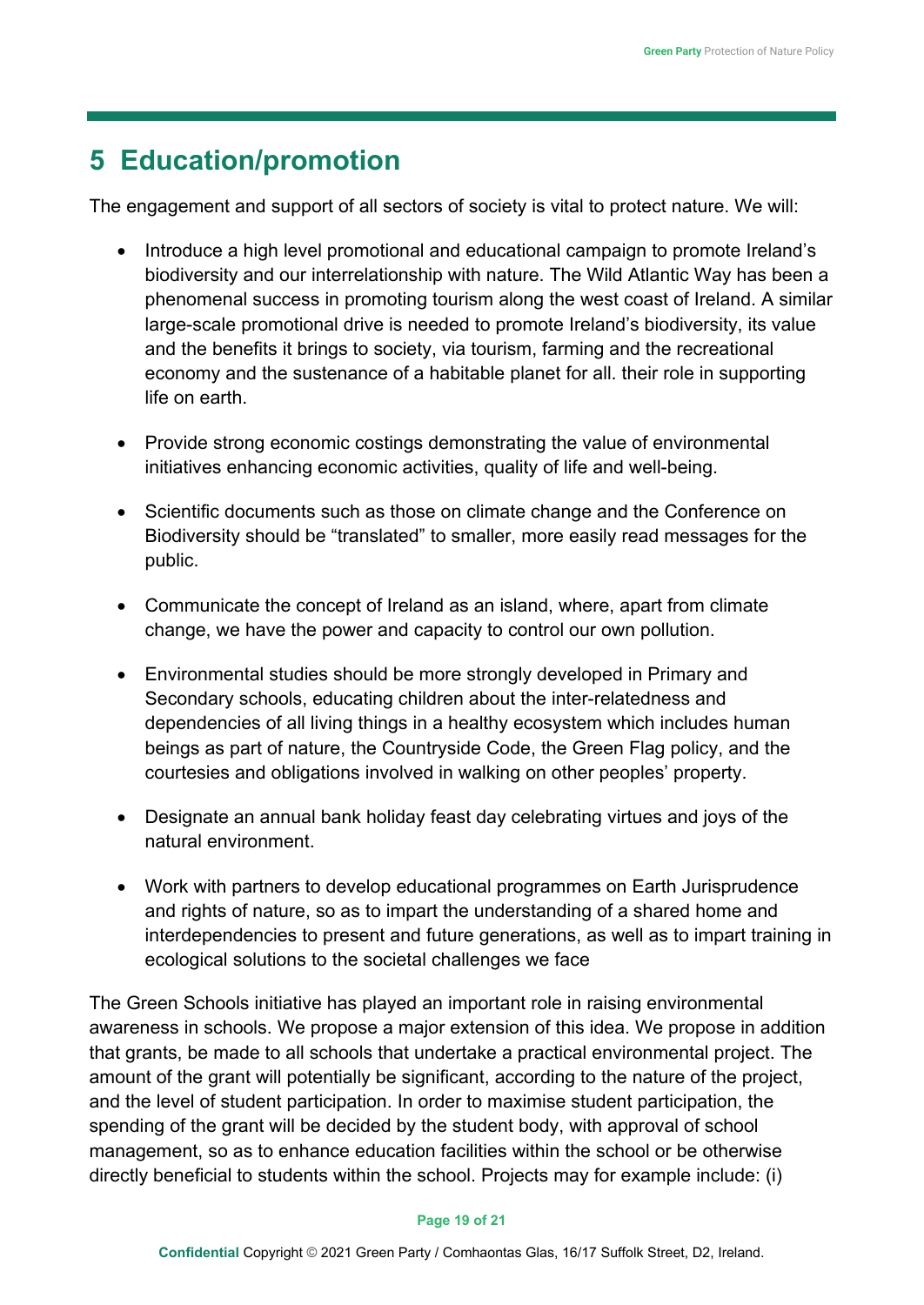# <span id="page-18-0"></span>**5 Education/promotion**

The engagement and support of all sectors of society is vital to protect nature. We will:

- Introduce a high level promotional and educational campaign to promote Ireland's biodiversity and our interrelationship with nature. The Wild Atlantic Way has been a phenomenal success in promoting tourism along the west coast of Ireland. A similar large-scale promotional drive is needed to promote Ireland's biodiversity, its value and the benefits it brings to society, via tourism, farming and the recreational economy and the sustenance of a habitable planet for all. their role in supporting life on earth.
- Provide strong economic costings demonstrating the value of environmental initiatives enhancing economic activities, quality of life and well-being.
- Scientific documents such as those on climate change and the Conference on Biodiversity should be "translated" to smaller, more easily read messages for the public.
- Communicate the concept of Ireland as an island, where, apart from climate change, we have the power and capacity to control our own pollution.
- Environmental studies should be more strongly developed in Primary and Secondary schools, educating children about the inter-relatedness and dependencies of all living things in a healthy ecosystem which includes human beings as part of nature, the Countryside Code, the Green Flag policy, and the courtesies and obligations involved in walking on other peoples' property.
- Designate an annual bank holiday feast day celebrating virtues and joys of the natural environment.
- Work with partners to develop educational programmes on Earth Jurisprudence and rights of nature, so as to impart the understanding of a shared home and interdependencies to present and future generations, as well as to impart training in ecological solutions to the societal challenges we face

The Green Schools initiative has played an important role in raising environmental awareness in schools. We propose a major extension of this idea. We propose in addition that grants, be made to all schools that undertake a practical environmental project. The amount of the grant will potentially be significant, according to the nature of the project, and the level of student participation. In order to maximise student participation, the spending of the grant will be decided by the student body, with approval of school management, so as to enhance education facilities within the school or be otherwise directly beneficial to students within the school. Projects may for example include: (i)

#### **Page 19 of 21**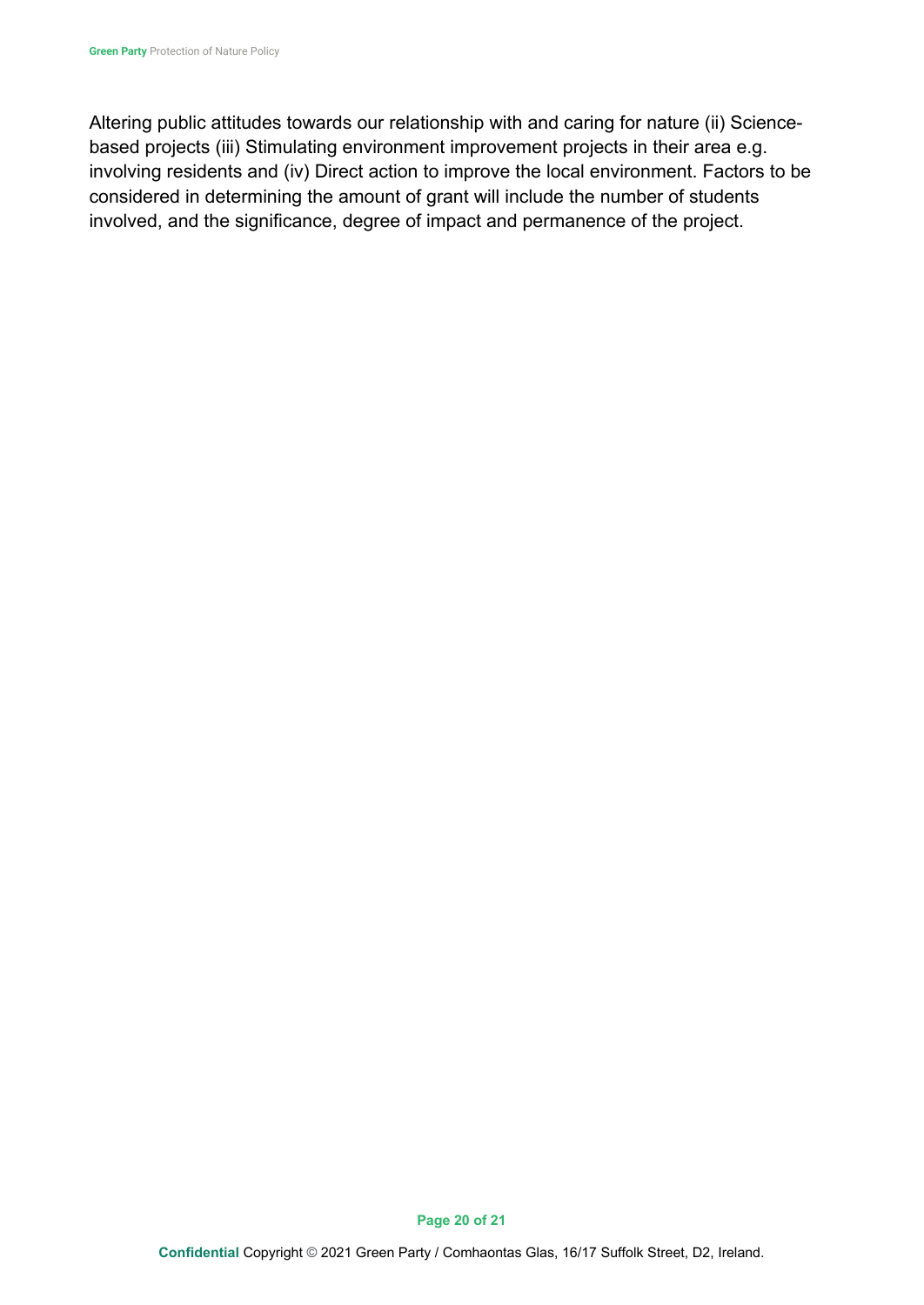Altering public attitudes towards our relationship with and caring for nature (ii) Sciencebased projects (iii) Stimulating environment improvement projects in their area e.g. involving residents and (iv) Direct action to improve the local environment. Factors to be considered in determining the amount of grant will include the number of students involved, and the significance, degree of impact and permanence of the project.